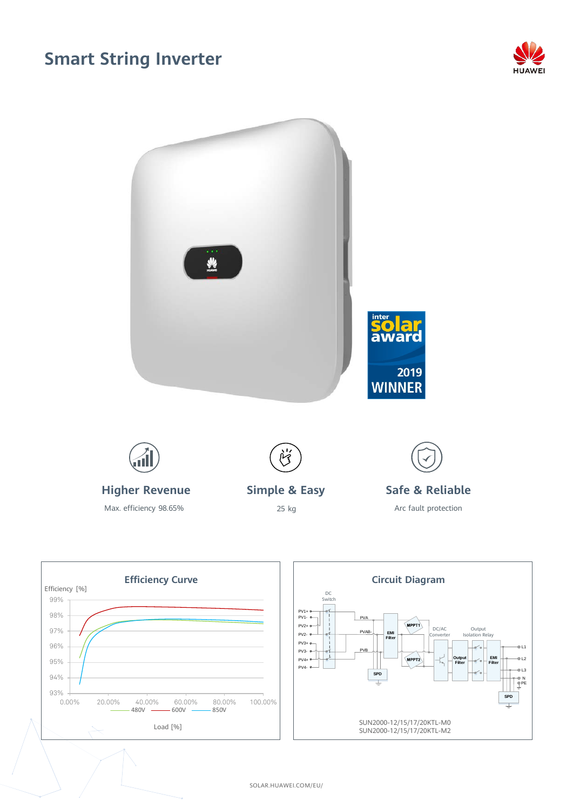## **Smart String Inverter**







SOLAR.HUAWEI.COM/EU/